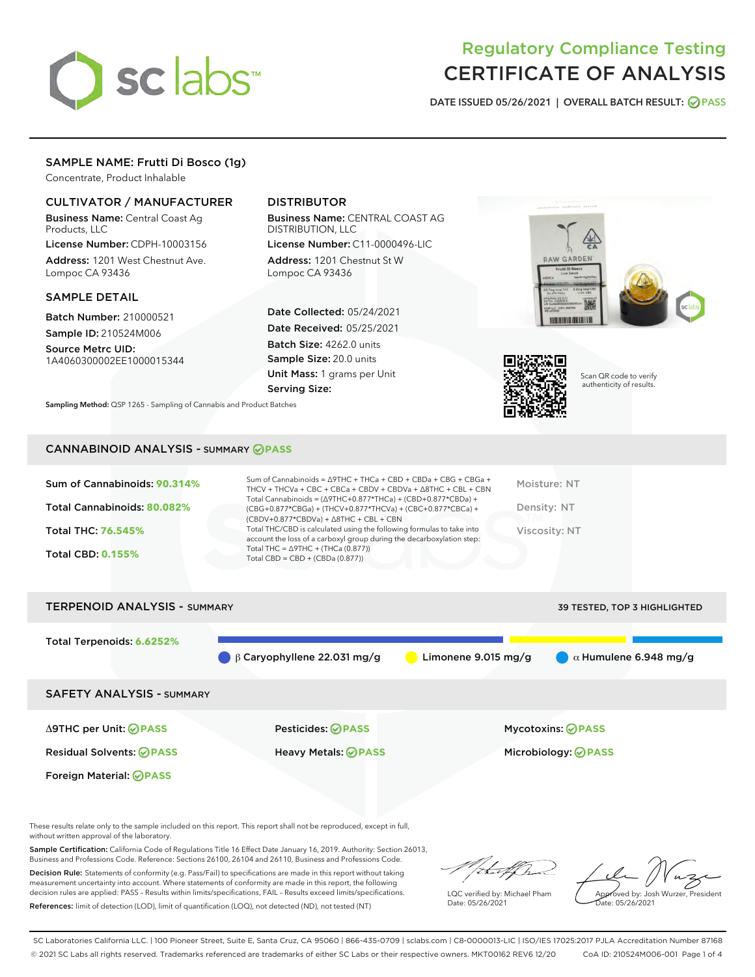

# Regulatory Compliance Testing CERTIFICATE OF ANALYSIS

DATE ISSUED 05/26/2021 | OVERALL BATCH RESULT: @ PASS

## SAMPLE NAME: Frutti Di Bosco (1g)

Concentrate, Product Inhalable

## CULTIVATOR / MANUFACTURER

Business Name: Central Coast Ag Products, LLC

License Number: CDPH-10003156 Address: 1201 West Chestnut Ave. Lompoc CA 93436

## SAMPLE DETAIL

Batch Number: 210000521 Sample ID: 210524M006

Source Metrc UID: 1A4060300002EE1000015344

## DISTRIBUTOR

Business Name: CENTRAL COAST AG DISTRIBUTION, LLC

License Number: C11-0000496-LIC Address: 1201 Chestnut St W Lompoc CA 93436

Date Collected: 05/24/2021 Date Received: 05/25/2021 Batch Size: 4262.0 units Sample Size: 20.0 units Unit Mass: 1 grams per Unit Serving Size:

Sampling Method: QSP 1265 - Sampling of Cannabis and Product Batches



Scan QR code to verify authenticity of results.

## CANNABINOID ANALYSIS - SUMMARY **PASS**

| Total THC/CBD is calculated using the following formulas to take into<br>Viscosity: NT<br>Total THC: 76.545%<br>account the loss of a carboxyl group during the decarboxylation step:<br>Total THC = $\triangle$ 9THC + (THCa (0.877))<br><b>Total CBD: 0.155%</b><br>Total CBD = $CBD + (CBDa (0.877))$ | Sum of Cannabinoids: 90.314%<br>Total Cannabinoids: 80.082% | Sum of Cannabinoids = $\triangle$ 9THC + THCa + CBD + CBDa + CBG + CBGa +<br>THCV + THCVa + CBC + CBCa + CBDV + CBDVa + $\land$ 8THC + CBL + CBN<br>Total Cannabinoids = $(\Delta$ 9THC+0.877*THCa) + (CBD+0.877*CBDa) +<br>(CBG+0.877*CBGa) + (THCV+0.877*THCVa) + (CBC+0.877*CBCa) +<br>$(CBDV+0.877*CBDVa) + \Delta 8THC + CBL + CBN$ | Moisture: NT<br>Density: NT |
|----------------------------------------------------------------------------------------------------------------------------------------------------------------------------------------------------------------------------------------------------------------------------------------------------------|-------------------------------------------------------------|------------------------------------------------------------------------------------------------------------------------------------------------------------------------------------------------------------------------------------------------------------------------------------------------------------------------------------------|-----------------------------|
|                                                                                                                                                                                                                                                                                                          |                                                             |                                                                                                                                                                                                                                                                                                                                          |                             |
|                                                                                                                                                                                                                                                                                                          |                                                             |                                                                                                                                                                                                                                                                                                                                          |                             |

TERPENOID ANALYSIS - SUMMARY 39 TESTED, TOP 3 HIGHLIGHTED

Total Terpenoids: **6.6252%** β Caryophyllene 22.031 mg/g **b** Limonene 9.015 mg/g  $\alpha$  Humulene 6.948 mg/g SAFETY ANALYSIS - SUMMARY Δ9THC per Unit: **PASS** Pesticides: **PASS** Mycotoxins: **PASS** Residual Solvents: **PASS** Heavy Metals: **PASS** Microbiology: **PASS** Foreign Material: **PASS**

These results relate only to the sample included on this report. This report shall not be reproduced, except in full, without written approval of the laboratory.

Sample Certification: California Code of Regulations Title 16 Effect Date January 16, 2019. Authority: Section 26013, Business and Professions Code. Reference: Sections 26100, 26104 and 26110, Business and Professions Code.

Decision Rule: Statements of conformity (e.g. Pass/Fail) to specifications are made in this report without taking measurement uncertainty into account. Where statements of conformity are made in this report, the following decision rules are applied: PASS – Results within limits/specifications, FAIL – Results exceed limits/specifications. References: limit of detection (LOD), limit of quantification (LOQ), not detected (ND), not tested (NT)

that fCh

LQC verified by: Michael Pham Date: 05/26/2021

Approved by: Josh Wurzer, President ate: 05/26/2021

SC Laboratories California LLC. | 100 Pioneer Street, Suite E, Santa Cruz, CA 95060 | 866-435-0709 | sclabs.com | C8-0000013-LIC | ISO/IES 17025:2017 PJLA Accreditation Number 87168 © 2021 SC Labs all rights reserved. Trademarks referenced are trademarks of either SC Labs or their respective owners. MKT00162 REV6 12/20 CoA ID: 210524M006-001 Page 1 of 4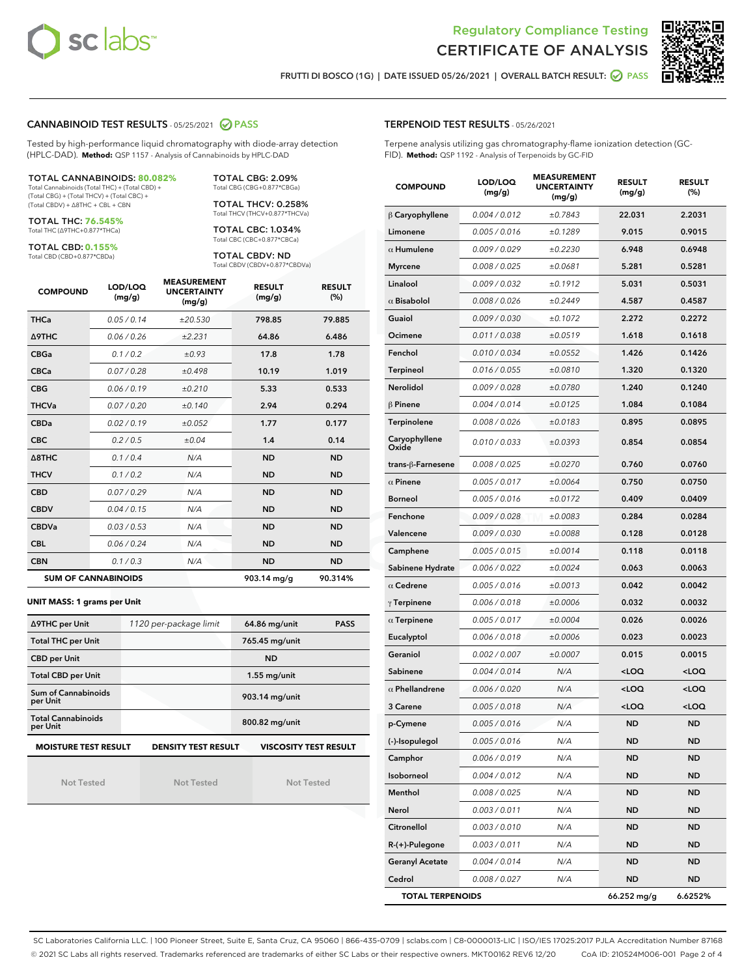



FRUTTI DI BOSCO (1G) | DATE ISSUED 05/26/2021 | OVERALL BATCH RESULT: 2 PASS

## CANNABINOID TEST RESULTS - 05/25/2021 2 PASS

Tested by high-performance liquid chromatography with diode-array detection (HPLC-DAD). **Method:** QSP 1157 - Analysis of Cannabinoids by HPLC-DAD

TOTAL CANNABINOIDS: **80.082%** Total Cannabinoids (Total THC) + (Total CBD) +

(Total CBG) + (Total THCV) + (Total CBC) + (Total CBDV) + ∆8THC + CBL + CBN

TOTAL THC: **76.545%** Total THC (∆9THC+0.877\*THCa)

TOTAL CBD: **0.155%**

Total CBD (CBD+0.877\*CBDa)

TOTAL CBG: 2.09% Total CBG (CBG+0.877\*CBGa) TOTAL THCV: 0.258%

Total THCV (THCV+0.877\*THCVa)

TOTAL CBC: 1.034% Total CBC (CBC+0.877\*CBCa)

TOTAL CBDV: ND Total CBDV (CBDV+0.877\*CBDVa)

| <b>COMPOUND</b>  | LOD/LOQ<br>(mg/g)          | <b>MEASUREMENT</b><br><b>UNCERTAINTY</b><br>(mg/g) | <b>RESULT</b><br>(mg/g) | <b>RESULT</b><br>(%) |
|------------------|----------------------------|----------------------------------------------------|-------------------------|----------------------|
| <b>THCa</b>      | 0.05/0.14                  | ±20.530                                            | 798.85                  | 79.885               |
| <b>A9THC</b>     | 0.06 / 0.26                | ±2.231                                             | 64.86                   | 6.486                |
| <b>CBGa</b>      | 0.1 / 0.2                  | ±0.93                                              | 17.8                    | 1.78                 |
| <b>CBCa</b>      | 0.07/0.28                  | ±0.498                                             | 10.19                   | 1.019                |
| <b>CBG</b>       | 0.06 / 0.19                | ±0.210                                             | 5.33                    | 0.533                |
| <b>THCVa</b>     | 0.07/0.20                  | ±0.140                                             | 2.94                    | 0.294                |
| <b>CBDa</b>      | 0.02/0.19                  | ±0.052                                             | 1.77                    | 0.177                |
| <b>CBC</b>       | 0.2 / 0.5                  | ±0.04                                              | 1.4                     | 0.14                 |
| $\triangle$ 8THC | 0.1 / 0.4                  | N/A                                                | <b>ND</b>               | <b>ND</b>            |
| <b>THCV</b>      | 0.1/0.2                    | N/A                                                | <b>ND</b>               | <b>ND</b>            |
| <b>CBD</b>       | 0.07/0.29                  | N/A                                                | <b>ND</b>               | <b>ND</b>            |
| <b>CBDV</b>      | 0.04/0.15                  | N/A                                                | <b>ND</b>               | <b>ND</b>            |
| <b>CBDVa</b>     | 0.03/0.53                  | N/A                                                | <b>ND</b>               | <b>ND</b>            |
| <b>CBL</b>       | 0.06 / 0.24                | N/A                                                | <b>ND</b>               | <b>ND</b>            |
| <b>CBN</b>       | 0.1/0.3                    | N/A                                                | <b>ND</b>               | <b>ND</b>            |
|                  | <b>SUM OF CANNABINOIDS</b> |                                                    | 903.14 mg/g             | 90.314%              |

#### **UNIT MASS: 1 grams per Unit**

| ∆9THC per Unit                        | 1120 per-package limit     | <b>PASS</b><br>64.86 mg/unit |
|---------------------------------------|----------------------------|------------------------------|
| <b>Total THC per Unit</b>             |                            | 765.45 mg/unit               |
| <b>CBD per Unit</b>                   |                            | <b>ND</b>                    |
| <b>Total CBD per Unit</b>             |                            | $1.55$ mg/unit               |
| Sum of Cannabinoids<br>per Unit       |                            | 903.14 mg/unit               |
| <b>Total Cannabinoids</b><br>per Unit |                            | 800.82 mg/unit               |
| <b>MOISTURE TEST RESULT</b>           | <b>DENSITY TEST RESULT</b> | <b>VISCOSITY TEST RESULT</b> |

Not Tested

Not Tested

Not Tested

## TERPENOID TEST RESULTS - 05/26/2021

Terpene analysis utilizing gas chromatography-flame ionization detection (GC-FID). **Method:** QSP 1192 - Analysis of Terpenoids by GC-FID

| <b>COMPOUND</b>         | LOD/LOQ<br>(mg/g)    | <b>MEASUREMENT</b><br><b>UNCERTAINTY</b><br>(mg/g) | <b>RESULT</b><br>(mg/g)                         | <b>RESULT</b><br>$(\%)$ |
|-------------------------|----------------------|----------------------------------------------------|-------------------------------------------------|-------------------------|
| $\beta$ Caryophyllene   | 0.004 / 0.012        | ±0.7843                                            | 22.031                                          | 2.2031                  |
| Limonene                | 0.005 / 0.016        | ±0.1289                                            | 9.015                                           | 0.9015                  |
| $\alpha$ Humulene       | 0.009/0.029          | ±0.2230                                            | 6.948                                           | 0.6948                  |
| <b>Myrcene</b>          | 0.008 / 0.025        | ±0.0681                                            | 5.281                                           | 0.5281                  |
| Linalool                | 0.009 / 0.032        | ±0.1912                                            | 5.031                                           | 0.5031                  |
| $\alpha$ Bisabolol      | 0.008 / 0.026        | ±0.2449                                            | 4.587                                           | 0.4587                  |
| Guaiol                  | 0.009 / 0.030        | ±0.1072                                            | 2.272                                           | 0.2272                  |
| Ocimene                 | 0.011 / 0.038        | ±0.0519                                            | 1.618                                           | 0.1618                  |
| Fenchol                 | 0.010 / 0.034        | ±0.0552                                            | 1.426                                           | 0.1426                  |
| Terpineol               | 0.016 / 0.055        | ±0.0810                                            | 1.320                                           | 0.1320                  |
| Nerolidol               | 0.009 / 0.028        | ±0.0780                                            | 1.240                                           | 0.1240                  |
| $\beta$ Pinene          | 0.004 / 0.014        | ±0.0125                                            | 1.084                                           | 0.1084                  |
| Terpinolene             | 0.008 / 0.026        | ±0.0183                                            | 0.895                                           | 0.0895                  |
| Caryophyllene<br>Oxide  | 0.010 / 0.033        | ±0.0393                                            | 0.854                                           | 0.0854                  |
| trans-ß-Farnesene       | 0.008 / 0.025        | ±0.0270                                            | 0.760                                           | 0.0760                  |
| $\alpha$ Pinene         | 0.005 / 0.017        | ±0.0064                                            | 0.750                                           | 0.0750                  |
| <b>Borneol</b>          | 0.005 / 0.016        | ±0.0172                                            | 0.409                                           | 0.0409                  |
| Fenchone                | 0.009 / 0.028        | ±0.0083                                            | 0.284                                           | 0.0284                  |
| Valencene               | <i>0.009 / 0.030</i> | ±0.0088                                            | 0.128                                           | 0.0128                  |
| Camphene                | 0.005 / 0.015        | ±0.0014                                            | 0.118                                           | 0.0118                  |
| Sabinene Hydrate        | 0.006 / 0.022        | ±0.0024                                            | 0.063                                           | 0.0063                  |
| $\alpha$ Cedrene        | 0.005 / 0.016        | ±0.0013                                            | 0.042                                           | 0.0042                  |
| $\gamma$ Terpinene      | 0.006 / 0.018        | ±0.0006                                            | 0.032                                           | 0.0032                  |
| $\alpha$ Terpinene      | 0.005 / 0.017        | ±0.0004                                            | 0.026                                           | 0.0026                  |
| Eucalyptol              | 0.006 / 0.018        | ±0.0006                                            | 0.023                                           | 0.0023                  |
| Geraniol                | 0.002 / 0.007        | ±0.0007                                            | 0.015                                           | 0.0015                  |
| Sabinene                | 0.004/0.014          | N/A                                                | <loq< th=""><th><loq< th=""></loq<></th></loq<> | <loq< th=""></loq<>     |
| $\alpha$ Phellandrene   | 0.006 / 0.020        | N/A                                                | <loq< th=""><th><loq< th=""></loq<></th></loq<> | <loq< th=""></loq<>     |
| 3 Carene                | 0.005 / 0.018        | N/A                                                | <loq< th=""><th><loq< th=""></loq<></th></loq<> | <loq< th=""></loq<>     |
| p-Cymene                | 0.005 / 0.016        | N/A                                                | <b>ND</b>                                       | <b>ND</b>               |
| (-)-Isopulegol          | 0.005 / 0.016        | N/A                                                | ND                                              | <b>ND</b>               |
| Camphor                 | 0.006 / 0.019        | N/A                                                | ND                                              | ND                      |
| Isoborneol              | 0.004 / 0.012        | N/A                                                | ND                                              | ND                      |
| Menthol                 | 0.008 / 0.025        | N/A                                                | ND                                              | ND                      |
| Nerol                   | 0.003 / 0.011        | N/A                                                | ND                                              | ND                      |
| Citronellol             | 0.003 / 0.010        | N/A                                                | ND                                              | ND                      |
| $R-(+)$ -Pulegone       | 0.003 / 0.011        | N/A                                                | ND                                              | ND                      |
| <b>Geranyl Acetate</b>  | 0.004 / 0.014        | N/A                                                | ND                                              | ND                      |
| Cedrol                  | 0.008 / 0.027        | N/A                                                | ND                                              | ND                      |
| <b>TOTAL TERPENOIDS</b> |                      |                                                    | 66.252 mg/g                                     | 6.6252%                 |

SC Laboratories California LLC. | 100 Pioneer Street, Suite E, Santa Cruz, CA 95060 | 866-435-0709 | sclabs.com | C8-0000013-LIC | ISO/IES 17025:2017 PJLA Accreditation Number 87168 © 2021 SC Labs all rights reserved. Trademarks referenced are trademarks of either SC Labs or their respective owners. MKT00162 REV6 12/20 CoA ID: 210524M006-001 Page 2 of 4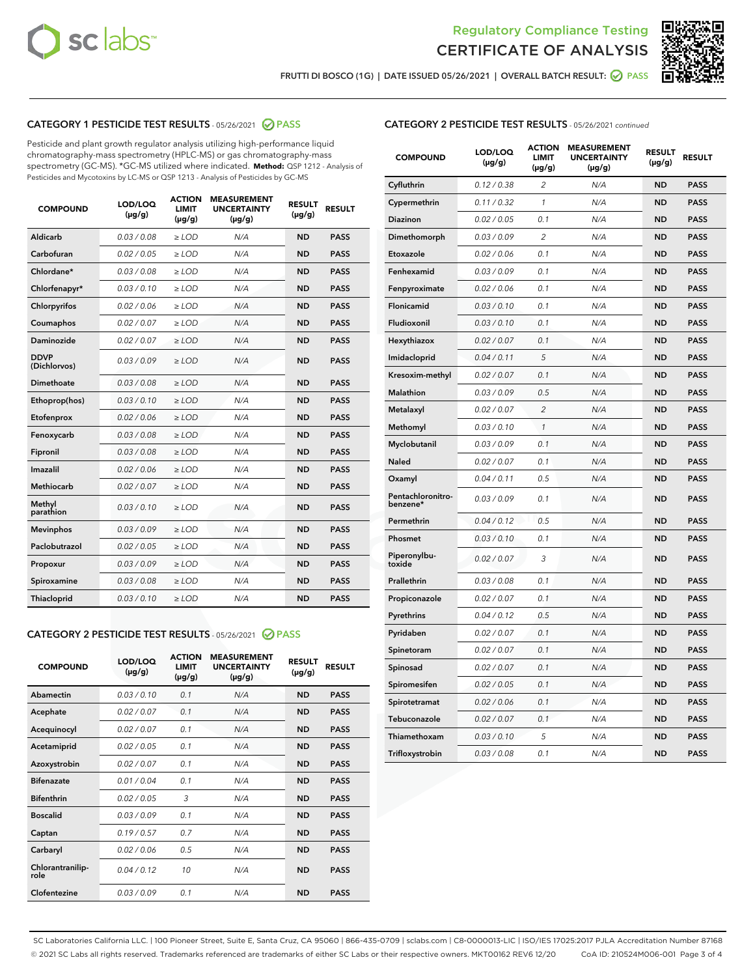



FRUTTI DI BOSCO (1G) | DATE ISSUED 05/26/2021 | OVERALL BATCH RESULT: @ PASS

## CATEGORY 1 PESTICIDE TEST RESULTS - 05/26/2021 2 PASS

Pesticide and plant growth regulator analysis utilizing high-performance liquid chromatography-mass spectrometry (HPLC-MS) or gas chromatography-mass spectrometry (GC-MS). \*GC-MS utilized where indicated. **Method:** QSP 1212 - Analysis of Pesticides and Mycotoxins by LC-MS or QSP 1213 - Analysis of Pesticides by GC-MS

| <b>COMPOUND</b>             | LOD/LOQ<br>$(\mu g/g)$ | <b>ACTION</b><br><b>LIMIT</b><br>$(\mu g/g)$ | <b>MEASUREMENT</b><br><b>UNCERTAINTY</b><br>$(\mu g/g)$ | <b>RESULT</b><br>$(\mu g/g)$ | <b>RESULT</b> |
|-----------------------------|------------------------|----------------------------------------------|---------------------------------------------------------|------------------------------|---------------|
| Aldicarb                    | 0.03 / 0.08            | $\ge$ LOD                                    | N/A                                                     | <b>ND</b>                    | <b>PASS</b>   |
| Carbofuran                  | 0.02/0.05              | $>$ LOD                                      | N/A                                                     | <b>ND</b>                    | <b>PASS</b>   |
| Chlordane*                  | 0.03 / 0.08            | $\ge$ LOD                                    | N/A                                                     | <b>ND</b>                    | <b>PASS</b>   |
| Chlorfenapyr*               | 0.03/0.10              | $\ge$ LOD                                    | N/A                                                     | <b>ND</b>                    | <b>PASS</b>   |
| Chlorpyrifos                | 0.02 / 0.06            | $\ge$ LOD                                    | N/A                                                     | <b>ND</b>                    | <b>PASS</b>   |
| Coumaphos                   | 0.02 / 0.07            | $>$ LOD                                      | N/A                                                     | <b>ND</b>                    | <b>PASS</b>   |
| Daminozide                  | 0.02 / 0.07            | $\ge$ LOD                                    | N/A                                                     | <b>ND</b>                    | <b>PASS</b>   |
| <b>DDVP</b><br>(Dichlorvos) | 0.03/0.09              | $\ge$ LOD                                    | N/A                                                     | <b>ND</b>                    | <b>PASS</b>   |
| <b>Dimethoate</b>           | 0.03 / 0.08            | $\ge$ LOD                                    | N/A                                                     | <b>ND</b>                    | <b>PASS</b>   |
| Ethoprop(hos)               | 0.03/0.10              | $>$ LOD                                      | N/A                                                     | <b>ND</b>                    | <b>PASS</b>   |
| Etofenprox                  | 0.02 / 0.06            | $\ge$ LOD                                    | N/A                                                     | <b>ND</b>                    | <b>PASS</b>   |
| Fenoxycarb                  | 0.03 / 0.08            | $>$ LOD                                      | N/A                                                     | <b>ND</b>                    | <b>PASS</b>   |
| Fipronil                    | 0.03 / 0.08            | $\ge$ LOD                                    | N/A                                                     | <b>ND</b>                    | <b>PASS</b>   |
| Imazalil                    | 0.02 / 0.06            | $\ge$ LOD                                    | N/A                                                     | <b>ND</b>                    | <b>PASS</b>   |
| Methiocarb                  | 0.02 / 0.07            | $\ge$ LOD                                    | N/A                                                     | <b>ND</b>                    | <b>PASS</b>   |
| Methyl<br>parathion         | 0.03/0.10              | $>$ LOD                                      | N/A                                                     | <b>ND</b>                    | <b>PASS</b>   |
| <b>Mevinphos</b>            | 0.03/0.09              | $>$ LOD                                      | N/A                                                     | <b>ND</b>                    | <b>PASS</b>   |
| Paclobutrazol               | 0.02 / 0.05            | $\ge$ LOD                                    | N/A                                                     | <b>ND</b>                    | <b>PASS</b>   |
| Propoxur                    | 0.03/0.09              | $\ge$ LOD                                    | N/A                                                     | <b>ND</b>                    | <b>PASS</b>   |
| Spiroxamine                 | 0.03 / 0.08            | $\ge$ LOD                                    | N/A                                                     | <b>ND</b>                    | <b>PASS</b>   |
| <b>Thiacloprid</b>          | 0.03/0.10              | $\ge$ LOD                                    | N/A                                                     | <b>ND</b>                    | <b>PASS</b>   |
|                             |                        |                                              |                                                         |                              |               |

## CATEGORY 2 PESTICIDE TEST RESULTS - 05/26/2021 @ PASS

| <b>COMPOUND</b>          | LOD/LOO<br>$(\mu g/g)$ | <b>ACTION</b><br>LIMIT<br>$(\mu g/g)$ | <b>MEASUREMENT</b><br><b>UNCERTAINTY</b><br>$(\mu g/g)$ | <b>RESULT</b><br>$(\mu g/g)$ | <b>RESULT</b> |  |
|--------------------------|------------------------|---------------------------------------|---------------------------------------------------------|------------------------------|---------------|--|
| Abamectin                | 0.03/0.10              | 0.1                                   | N/A                                                     | <b>ND</b>                    | <b>PASS</b>   |  |
| Acephate                 | 0.02/0.07              | 0.1                                   | N/A                                                     | <b>ND</b>                    | <b>PASS</b>   |  |
| Acequinocyl              | 0.02/0.07              | 0.1                                   | N/A                                                     | <b>ND</b>                    | <b>PASS</b>   |  |
| Acetamiprid              | 0.02/0.05              | 0.1                                   | N/A                                                     | <b>ND</b>                    | <b>PASS</b>   |  |
| Azoxystrobin             | 0.02/0.07              | 0.1                                   | N/A                                                     | <b>ND</b>                    | <b>PASS</b>   |  |
| <b>Bifenazate</b>        | 0.01/0.04              | 0.1                                   | N/A                                                     | <b>ND</b>                    | <b>PASS</b>   |  |
| <b>Bifenthrin</b>        | 0.02/0.05              | 3                                     | N/A                                                     | <b>ND</b>                    | <b>PASS</b>   |  |
| <b>Boscalid</b>          | 0.03/0.09              | 0.1                                   | N/A                                                     | <b>ND</b>                    | <b>PASS</b>   |  |
| Captan                   | 0.19/0.57              | 0.7                                   | N/A                                                     | <b>ND</b>                    | <b>PASS</b>   |  |
| Carbaryl                 | 0.02/0.06              | 0.5                                   | N/A                                                     | <b>ND</b>                    | <b>PASS</b>   |  |
| Chlorantranilip-<br>role | 0.04/0.12              | 10                                    | N/A                                                     | <b>ND</b>                    | <b>PASS</b>   |  |
| Clofentezine             | 0.03/0.09              | 0.1                                   | N/A                                                     | <b>ND</b>                    | <b>PASS</b>   |  |

## CATEGORY 2 PESTICIDE TEST RESULTS - 05/26/2021 continued

| <b>COMPOUND</b>               | LOD/LOQ<br>(µg/g) | <b>ACTION</b><br><b>LIMIT</b><br>$(\mu g/g)$ | <b>MEASUREMENT</b><br><b>UNCERTAINTY</b><br>$(\mu g/g)$ | <b>RESULT</b><br>(µg/g) | <b>RESULT</b> |
|-------------------------------|-------------------|----------------------------------------------|---------------------------------------------------------|-------------------------|---------------|
| Cyfluthrin                    | 0.12 / 0.38       | $\overline{c}$                               | N/A                                                     | ND                      | <b>PASS</b>   |
| Cypermethrin                  | 0.11 / 0.32       | $\mathcal{I}$                                | N/A                                                     | ND                      | <b>PASS</b>   |
| <b>Diazinon</b>               | 0.02 / 0.05       | 0.1                                          | N/A                                                     | <b>ND</b>               | <b>PASS</b>   |
| Dimethomorph                  | 0.03 / 0.09       | 2                                            | N/A                                                     | ND                      | <b>PASS</b>   |
| Etoxazole                     | 0.02 / 0.06       | 0.1                                          | N/A                                                     | ND                      | <b>PASS</b>   |
| Fenhexamid                    | 0.03 / 0.09       | 0.1                                          | N/A                                                     | ND                      | <b>PASS</b>   |
| Fenpyroximate                 | 0.02 / 0.06       | 0.1                                          | N/A                                                     | <b>ND</b>               | <b>PASS</b>   |
| Flonicamid                    | 0.03 / 0.10       | 0.1                                          | N/A                                                     | ND                      | <b>PASS</b>   |
| Fludioxonil                   | 0.03 / 0.10       | 0.1                                          | N/A                                                     | ND                      | <b>PASS</b>   |
| Hexythiazox                   | 0.02 / 0.07       | 0.1                                          | N/A                                                     | ND                      | <b>PASS</b>   |
| Imidacloprid                  | 0.04 / 0.11       | 5                                            | N/A                                                     | ND                      | <b>PASS</b>   |
| Kresoxim-methyl               | 0.02 / 0.07       | 0.1                                          | N/A                                                     | ND                      | <b>PASS</b>   |
| Malathion                     | 0.03 / 0.09       | 0.5                                          | N/A                                                     | <b>ND</b>               | <b>PASS</b>   |
| Metalaxyl                     | 0.02 / 0.07       | $\overline{c}$                               | N/A                                                     | ND                      | <b>PASS</b>   |
| Methomyl                      | 0.03 / 0.10       | 1                                            | N/A                                                     | ND                      | <b>PASS</b>   |
| Myclobutanil                  | 0.03 / 0.09       | 0.1                                          | N/A                                                     | <b>ND</b>               | <b>PASS</b>   |
| Naled                         | 0.02 / 0.07       | 0.1                                          | N/A                                                     | ND                      | <b>PASS</b>   |
| Oxamyl                        | 0.04 / 0.11       | 0.5                                          | N/A                                                     | ND                      | <b>PASS</b>   |
| Pentachloronitro-<br>benzene* | 0.03 / 0.09       | 0.1                                          | N/A                                                     | ND                      | <b>PASS</b>   |
| Permethrin                    | 0.04 / 0.12       | 0.5                                          | N/A                                                     | ND                      | <b>PASS</b>   |
| Phosmet                       | 0.03 / 0.10       | 0.1                                          | N/A                                                     | ND                      | <b>PASS</b>   |
| Piperonylbu-<br>toxide        | 0.02 / 0.07       | 3                                            | N/A                                                     | ND                      | <b>PASS</b>   |
| Prallethrin                   | 0.03 / 0.08       | 0.1                                          | N/A                                                     | ND                      | <b>PASS</b>   |
| Propiconazole                 | 0.02 / 0.07       | 0.1                                          | N/A                                                     | ND                      | <b>PASS</b>   |
| Pyrethrins                    | 0.04 / 0.12       | 0.5                                          | N/A                                                     | ND                      | <b>PASS</b>   |
| Pyridaben                     | 0.02 / 0.07       | 0.1                                          | N/A                                                     | <b>ND</b>               | <b>PASS</b>   |
| Spinetoram                    | 0.02 / 0.07       | 0.1                                          | N/A                                                     | ND                      | <b>PASS</b>   |
| Spinosad                      | 0.02 / 0.07       | 0.1                                          | N/A                                                     | ND                      | <b>PASS</b>   |
| Spiromesifen                  | 0.02 / 0.05       | 0.1                                          | N/A                                                     | <b>ND</b>               | <b>PASS</b>   |
| Spirotetramat                 | 0.02 / 0.06       | 0.1                                          | N/A                                                     | ND                      | <b>PASS</b>   |
| Tebuconazole                  | 0.02 / 0.07       | 0.1                                          | N/A                                                     | ND                      | <b>PASS</b>   |
| Thiamethoxam                  | 0.03 / 0.10       | 5                                            | N/A                                                     | <b>ND</b>               | <b>PASS</b>   |
| Trifloxystrobin               | 0.03 / 0.08       | 0.1                                          | N/A                                                     | <b>ND</b>               | <b>PASS</b>   |

SC Laboratories California LLC. | 100 Pioneer Street, Suite E, Santa Cruz, CA 95060 | 866-435-0709 | sclabs.com | C8-0000013-LIC | ISO/IES 17025:2017 PJLA Accreditation Number 87168 © 2021 SC Labs all rights reserved. Trademarks referenced are trademarks of either SC Labs or their respective owners. MKT00162 REV6 12/20 CoA ID: 210524M006-001 Page 3 of 4